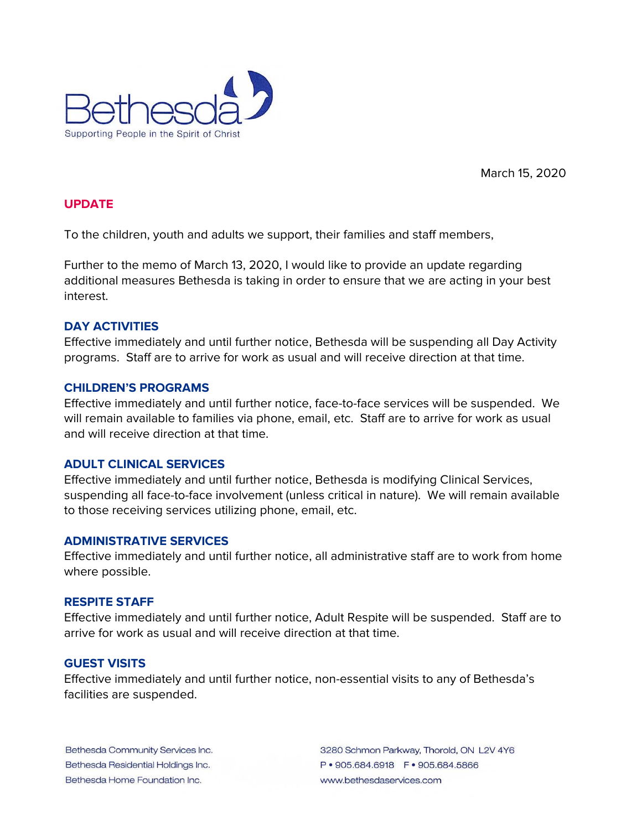

March 15, 2020

## **UPDATE**

To the children, youth and adults we support, their families and staff members,

Further to the memo of March 13, 2020, I would like to provide an update regarding additional measures Bethesda is taking in order to ensure that we are acting in your best interest.

## **DAY ACTIVITIES**

Effective immediately and until further notice, Bethesda will be suspending all Day Activity programs. Staff are to arrive for work as usual and will receive direction at that time.

### **CHILDREN'S PROGRAMS**

Effective immediately and until further notice, face-to-face services will be suspended. We will remain available to families via phone, email, etc. Staff are to arrive for work as usual and will receive direction at that time.

## **ADULT CLINICAL SERVICES**

Effective immediately and until further notice, Bethesda is modifying Clinical Services, suspending all face-to-face involvement (unless critical in nature). We will remain available to those receiving services utilizing phone, email, etc.

#### **ADMINISTRATIVE SERVICES**

Effective immediately and until further notice, all administrative staff are to work from home where possible.

#### **RESPITE STAFF**

Effective immediately and until further notice, Adult Respite will be suspended. Staff are to arrive for work as usual and will receive direction at that time.

# **GUEST VISITS**

Effective immediately and until further notice, non-essential visits to any of Bethesda's facilities are suspended.

Bethesda Community Services Inc. Bethesda Residential Holdings Inc. Bethesda Home Foundation Inc.

3280 Schmon Parkway, Thorold, ON L2V 4Y6 P · 905.684.6918 F · 905.684.5866 www.bethesdaservices.com